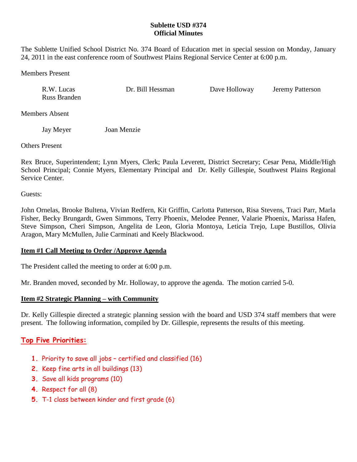## **Sublette USD #374 Official Minutes**

The Sublette Unified School District No. 374 Board of Education met in special session on Monday, January 24, 2011 in the east conference room of Southwest Plains Regional Service Center at 6:00 p.m.

Members Present

| R.W. Lucas   | Dr. Bill Hessman | Dave Holloway | <b>Jeremy Patterson</b> |
|--------------|------------------|---------------|-------------------------|
| Russ Branden |                  |               |                         |

Members Absent

Jay Meyer Joan Menzie

Others Present

Rex Bruce, Superintendent; Lynn Myers, Clerk; Paula Leverett, District Secretary; Cesar Pena, Middle/High School Principal; Connie Myers, Elementary Principal and Dr. Kelly Gillespie, Southwest Plains Regional Service Center.

Guests:

John Ornelas, Brooke Bultena, Vivian Redfern, Kit Griffin, Carlotta Patterson, Risa Stevens, Traci Parr, Marla Fisher, Becky Brungardt, Gwen Simmons, Terry Phoenix, Melodee Penner, Valarie Phoenix, Marissa Hafen, Steve Simpson, Cheri Simpson, Angelita de Leon, Gloria Montoya, Leticia Trejo, Lupe Bustillos, Olivia Aragon, Mary McMullen, Julie Carminati and Keely Blackwood.

## **Item #1 Call Meeting to Order /Approve Agenda**

The President called the meeting to order at 6:00 p.m.

Mr. Branden moved, seconded by Mr. Holloway, to approve the agenda. The motion carried 5-0.

## **Item #2 Strategic Planning – with Community**

Dr. Kelly Gillespie directed a strategic planning session with the board and USD 374 staff members that were present. The following information, compiled by Dr. Gillespie, represents the results of this meeting.

# **Top Five Priorities:**

- **1.** Priority to save all jobs certified and classified (16)
- **2.** Keep fine arts in all buildings (13)
- **3.** Save all kids programs (10)
- **4.** Respect for all (8)
- **5.** T-1 class between kinder and first grade (6)